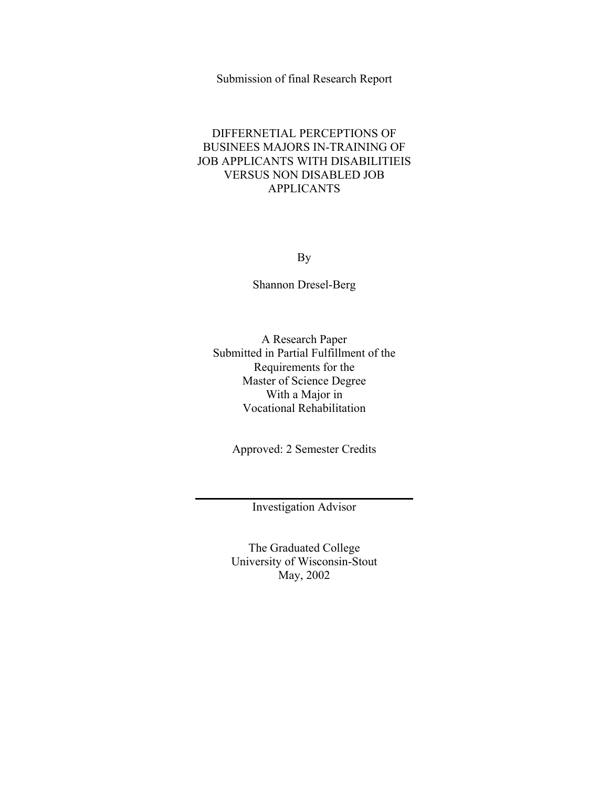## Submission of final Research Report

## DIFFERNETIAL PERCEPTIONS OF BUSINEES MAJORS IN-TRAINING OF JOB APPLICANTS WITH DISABILITIEIS VERSUS NON DISABLED JOB APPLICANTS

By

Shannon Dresel-Berg

A Research Paper Submitted in Partial Fulfillment of the Requirements for the Master of Science Degree With a Major in Vocational Rehabilitation

Approved: 2 Semester Credits

Investigation Advisor

The Graduated College University of Wisconsin-Stout May, 2002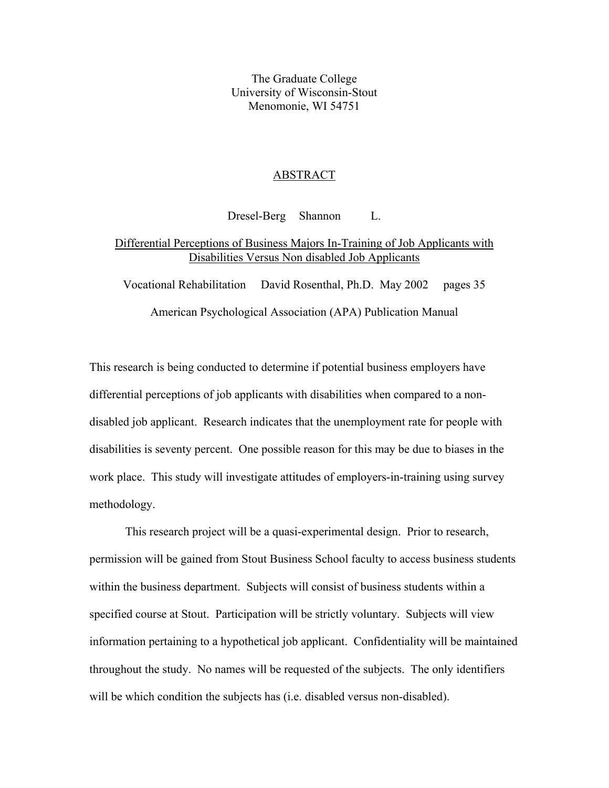The Graduate College University of Wisconsin-Stout Menomonie, WI 54751

#### ABSTRACT

Dresel-Berg Shannon L. Differential Perceptions of Business Majors In-Training of Job Applicants with Disabilities Versus Non disabled Job Applicants

Vocational Rehabilitation David Rosenthal, Ph.D. May 2002 pages 35

American Psychological Association (APA) Publication Manual

This research is being conducted to determine if potential business employers have differential perceptions of job applicants with disabilities when compared to a nondisabled job applicant. Research indicates that the unemployment rate for people with disabilities is seventy percent. One possible reason for this may be due to biases in the work place. This study will investigate attitudes of employers-in-training using survey methodology.

This research project will be a quasi-experimental design. Prior to research, permission will be gained from Stout Business School faculty to access business students within the business department. Subjects will consist of business students within a specified course at Stout. Participation will be strictly voluntary. Subjects will view information pertaining to a hypothetical job applicant. Confidentiality will be maintained throughout the study. No names will be requested of the subjects. The only identifiers will be which condition the subjects has (i.e. disabled versus non-disabled).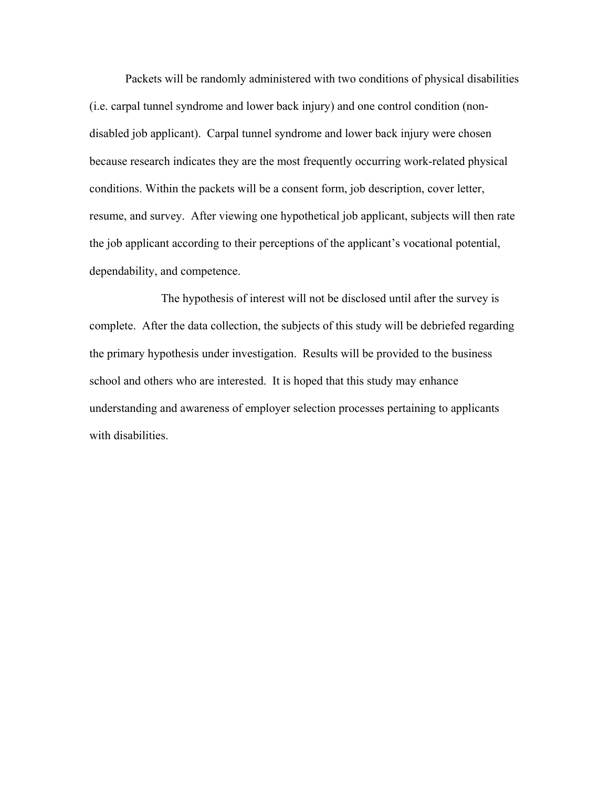Packets will be randomly administered with two conditions of physical disabilities (i.e. carpal tunnel syndrome and lower back injury) and one control condition (nondisabled job applicant). Carpal tunnel syndrome and lower back injury were chosen because research indicates they are the most frequently occurring work-related physical conditions. Within the packets will be a consent form, job description, cover letter, resume, and survey. After viewing one hypothetical job applicant, subjects will then rate the job applicant according to their perceptions of the applicant's vocational potential, dependability, and competence.

 The hypothesis of interest will not be disclosed until after the survey is complete. After the data collection, the subjects of this study will be debriefed regarding the primary hypothesis under investigation. Results will be provided to the business school and others who are interested. It is hoped that this study may enhance understanding and awareness of employer selection processes pertaining to applicants with disabilities.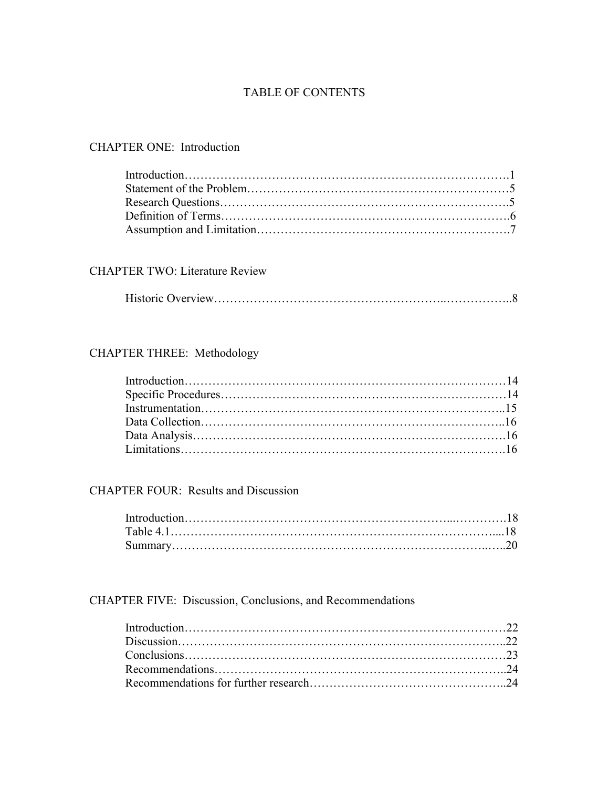## TABLE OF CONTENTS

## CHAPTER ONE: Introduction

## CHAPTER TWO: Literature Review

## CHAPTER THREE: Methodology

## CHAPTER FOUR: Results and Discussion

## CHAPTER FIVE: Discussion, Conclusions, and Recommendations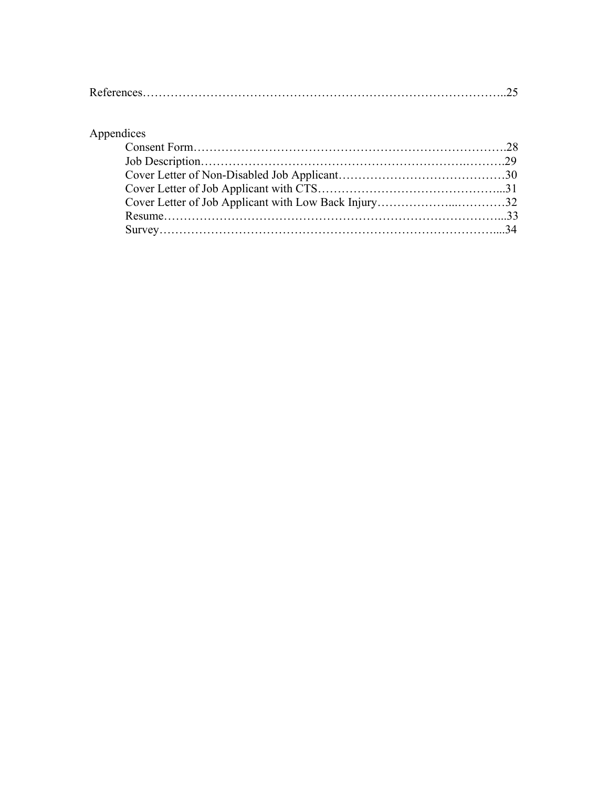## Appendices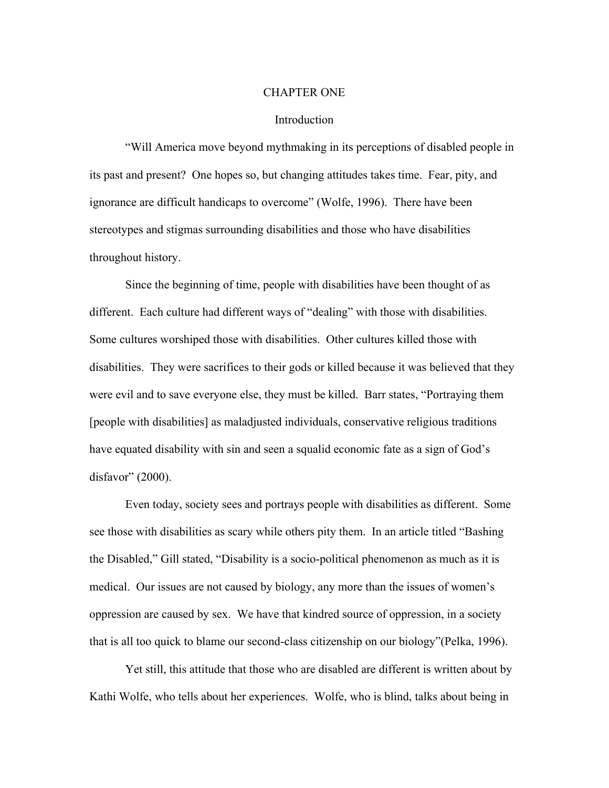#### CHAPTER ONE

#### Introduction

"Will America move beyond mythmaking in its perceptions of disabled people in its past and present? One hopes so, but changing attitudes takes time. Fear, pity, and ignorance are difficult handicaps to overcome" (Wolfe, 1996). There have been stereotypes and stigmas surrounding disabilities and those who have disabilities throughout history.

Since the beginning of time, people with disabilities have been thought of as different. Each culture had different ways of "dealing" with those with disabilities. Some cultures worshiped those with disabilities. Other cultures killed those with disabilities. They were sacrifices to their gods or killed because it was believed that they were evil and to save everyone else, they must be killed. Barr states, "Portraying them [people with disabilities] as maladjusted individuals, conservative religious traditions have equated disability with sin and seen a squalid economic fate as a sign of God's disfavor" (2000).

Even today, society sees and portrays people with disabilities as different. Some see those with disabilities as scary while others pity them. In an article titled "Bashing the Disabled," Gill stated, "Disability is a socio-political phenomenon as much as it is medical. Our issues are not caused by biology, any more than the issues of women's oppression are caused by sex. We have that kindred source of oppression, in a society that is all too quick to blame our second-class citizenship on our biology"(Pelka, 1996).

Yet still, this attitude that those who are disabled are different is written about by Kathi Wolfe, who tells about her experiences. Wolfe, who is blind, talks about being in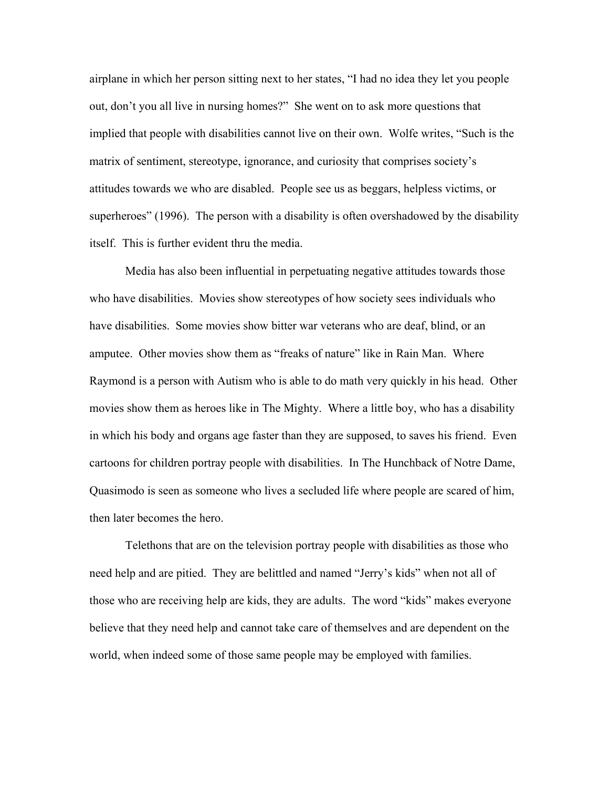airplane in which her person sitting next to her states, "I had no idea they let you people out, don't you all live in nursing homes?" She went on to ask more questions that implied that people with disabilities cannot live on their own. Wolfe writes, "Such is the matrix of sentiment, stereotype, ignorance, and curiosity that comprises society's attitudes towards we who are disabled. People see us as beggars, helpless victims, or superheroes" (1996). The person with a disability is often overshadowed by the disability itself. This is further evident thru the media.

Media has also been influential in perpetuating negative attitudes towards those who have disabilities. Movies show stereotypes of how society sees individuals who have disabilities. Some movies show bitter war veterans who are deaf, blind, or an amputee. Other movies show them as "freaks of nature" like in Rain Man. Where Raymond is a person with Autism who is able to do math very quickly in his head. Other movies show them as heroes like in The Mighty. Where a little boy, who has a disability in which his body and organs age faster than they are supposed, to saves his friend. Even cartoons for children portray people with disabilities. In The Hunchback of Notre Dame, Quasimodo is seen as someone who lives a secluded life where people are scared of him, then later becomes the hero.

Telethons that are on the television portray people with disabilities as those who need help and are pitied. They are belittled and named "Jerry's kids" when not all of those who are receiving help are kids, they are adults. The word "kids" makes everyone believe that they need help and cannot take care of themselves and are dependent on the world, when indeed some of those same people may be employed with families.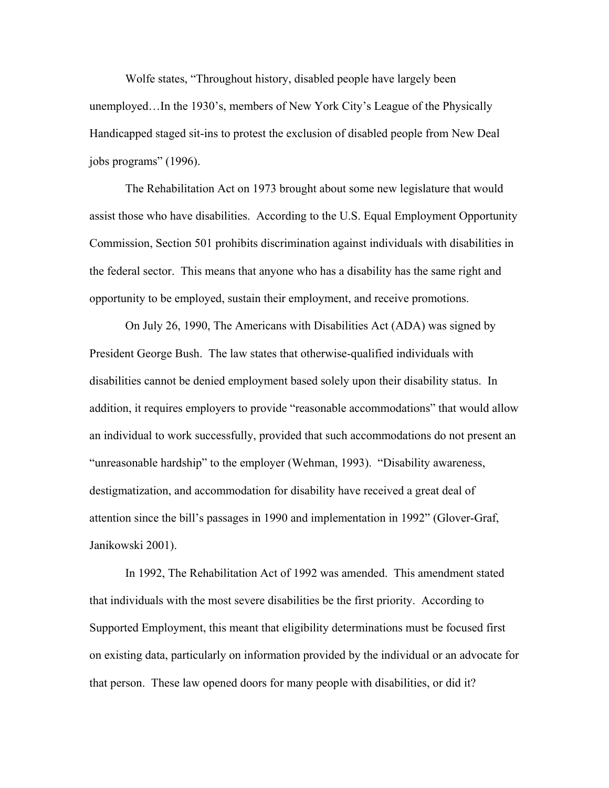Wolfe states, "Throughout history, disabled people have largely been unemployed…In the 1930's, members of New York City's League of the Physically Handicapped staged sit-ins to protest the exclusion of disabled people from New Deal jobs programs" (1996).

The Rehabilitation Act on 1973 brought about some new legislature that would assist those who have disabilities. According to the U.S. Equal Employment Opportunity Commission, Section 501 prohibits discrimination against individuals with disabilities in the federal sector. This means that anyone who has a disability has the same right and opportunity to be employed, sustain their employment, and receive promotions.

On July 26, 1990, The Americans with Disabilities Act (ADA) was signed by President George Bush. The law states that otherwise-qualified individuals with disabilities cannot be denied employment based solely upon their disability status. In addition, it requires employers to provide "reasonable accommodations" that would allow an individual to work successfully, provided that such accommodations do not present an "unreasonable hardship" to the employer (Wehman, 1993). "Disability awareness, destigmatization, and accommodation for disability have received a great deal of attention since the bill's passages in 1990 and implementation in 1992" (Glover-Graf, Janikowski 2001).

In 1992, The Rehabilitation Act of 1992 was amended. This amendment stated that individuals with the most severe disabilities be the first priority. According to Supported Employment, this meant that eligibility determinations must be focused first on existing data, particularly on information provided by the individual or an advocate for that person. These law opened doors for many people with disabilities, or did it?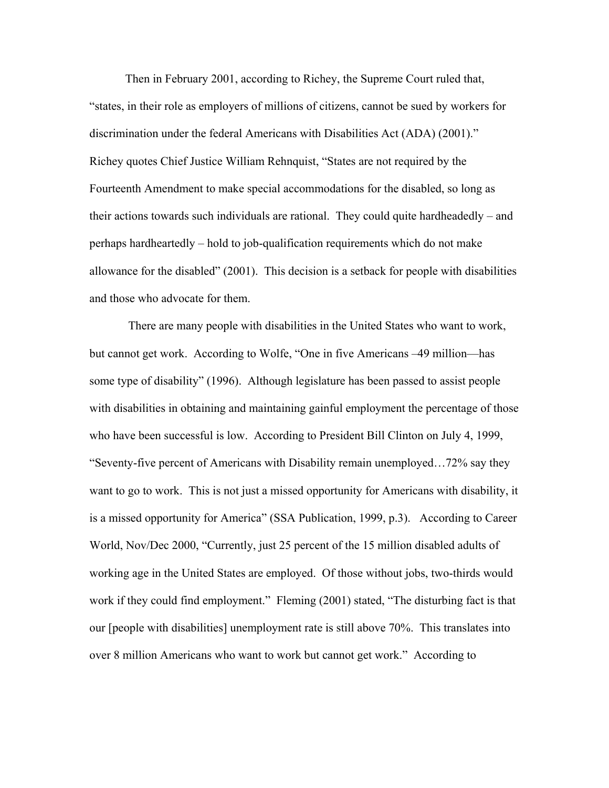Then in February 2001, according to Richey, the Supreme Court ruled that, "states, in their role as employers of millions of citizens, cannot be sued by workers for discrimination under the federal Americans with Disabilities Act (ADA) (2001)." Richey quotes Chief Justice William Rehnquist, "States are not required by the Fourteenth Amendment to make special accommodations for the disabled, so long as their actions towards such individuals are rational. They could quite hardheadedly – and perhaps hardheartedly – hold to job-qualification requirements which do not make allowance for the disabled" (2001). This decision is a setback for people with disabilities and those who advocate for them.

 There are many people with disabilities in the United States who want to work, but cannot get work. According to Wolfe, "One in five Americans –49 million—has some type of disability" (1996). Although legislature has been passed to assist people with disabilities in obtaining and maintaining gainful employment the percentage of those who have been successful is low. According to President Bill Clinton on July 4, 1999, "Seventy-five percent of Americans with Disability remain unemployed…72% say they want to go to work. This is not just a missed opportunity for Americans with disability, it is a missed opportunity for America" (SSA Publication, 1999, p.3). According to Career World, Nov/Dec 2000, "Currently, just 25 percent of the 15 million disabled adults of working age in the United States are employed. Of those without jobs, two-thirds would work if they could find employment." Fleming (2001) stated, "The disturbing fact is that our [people with disabilities] unemployment rate is still above 70%. This translates into over 8 million Americans who want to work but cannot get work." According to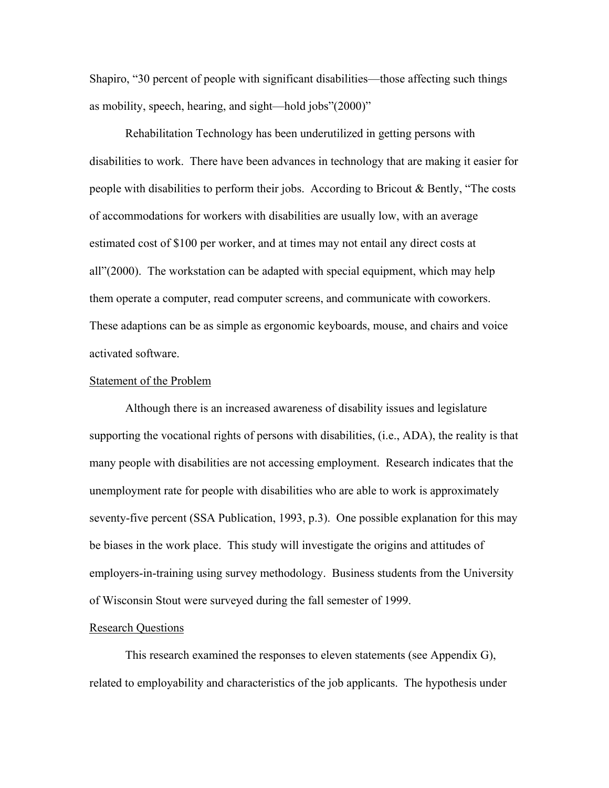Shapiro, "30 percent of people with significant disabilities—those affecting such things as mobility, speech, hearing, and sight—hold jobs"(2000)"

Rehabilitation Technology has been underutilized in getting persons with disabilities to work. There have been advances in technology that are making it easier for people with disabilities to perform their jobs. According to Bricout & Bently, "The costs of accommodations for workers with disabilities are usually low, with an average estimated cost of \$100 per worker, and at times may not entail any direct costs at all"(2000). The workstation can be adapted with special equipment, which may help them operate a computer, read computer screens, and communicate with coworkers. These adaptions can be as simple as ergonomic keyboards, mouse, and chairs and voice activated software.

#### Statement of the Problem

Although there is an increased awareness of disability issues and legislature supporting the vocational rights of persons with disabilities, (i.e., ADA), the reality is that many people with disabilities are not accessing employment. Research indicates that the unemployment rate for people with disabilities who are able to work is approximately seventy-five percent (SSA Publication, 1993, p.3). One possible explanation for this may be biases in the work place. This study will investigate the origins and attitudes of employers-in-training using survey methodology. Business students from the University of Wisconsin Stout were surveyed during the fall semester of 1999.

### Research Questions

 This research examined the responses to eleven statements (see Appendix G), related to employability and characteristics of the job applicants. The hypothesis under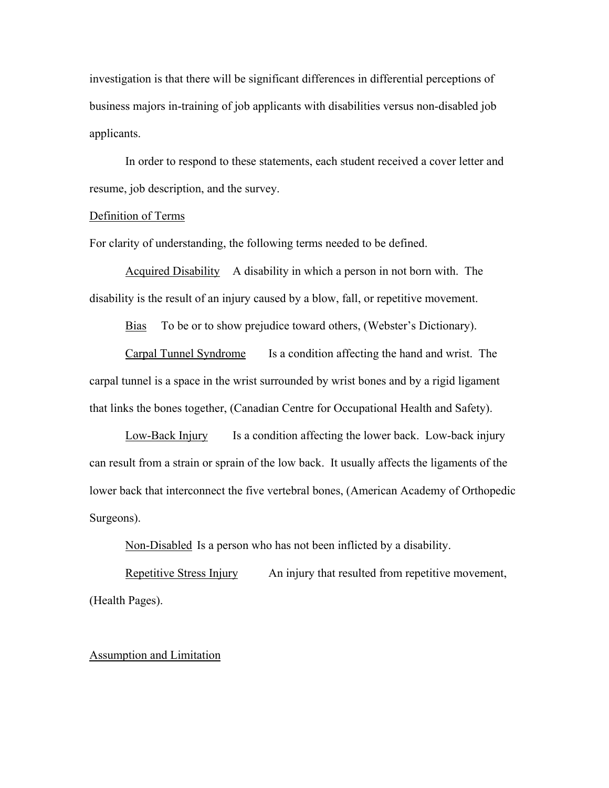investigation is that there will be significant differences in differential perceptions of business majors in-training of job applicants with disabilities versus non-disabled job applicants.

In order to respond to these statements, each student received a cover letter and resume, job description, and the survey.

#### Definition of Terms

For clarity of understanding, the following terms needed to be defined.

Acquired Disability A disability in which a person in not born with. The disability is the result of an injury caused by a blow, fall, or repetitive movement.

Bias To be or to show prejudice toward others, (Webster's Dictionary).

Carpal Tunnel Syndrome Is a condition affecting the hand and wrist. The carpal tunnel is a space in the wrist surrounded by wrist bones and by a rigid ligament that links the bones together, (Canadian Centre for Occupational Health and Safety).

Low-Back Injury Is a condition affecting the lower back. Low-back injury can result from a strain or sprain of the low back. It usually affects the ligaments of the lower back that interconnect the five vertebral bones, (American Academy of Orthopedic Surgeons).

Non-Disabled Is a person who has not been inflicted by a disability.

Repetitive Stress Injury An injury that resulted from repetitive movement, (Health Pages).

#### Assumption and Limitation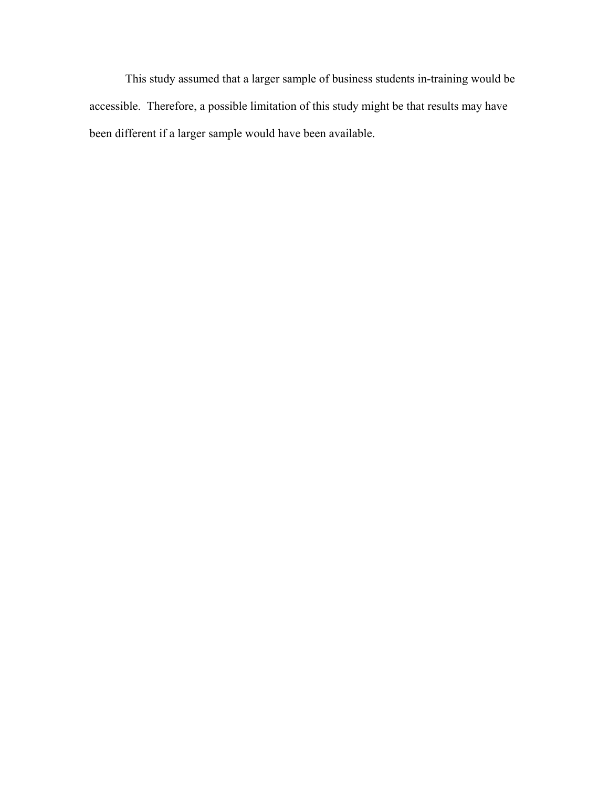This study assumed that a larger sample of business students in-training would be accessible. Therefore, a possible limitation of this study might be that results may have been different if a larger sample would have been available.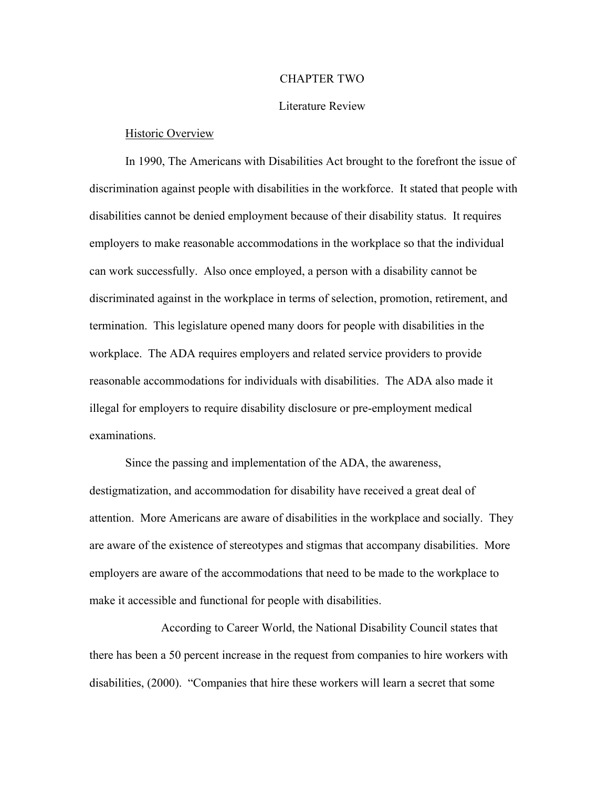#### CHAPTER TWO

### Literature Review

#### Historic Overview

 In 1990, The Americans with Disabilities Act brought to the forefront the issue of discrimination against people with disabilities in the workforce. It stated that people with disabilities cannot be denied employment because of their disability status. It requires employers to make reasonable accommodations in the workplace so that the individual can work successfully. Also once employed, a person with a disability cannot be discriminated against in the workplace in terms of selection, promotion, retirement, and termination. This legislature opened many doors for people with disabilities in the workplace. The ADA requires employers and related service providers to provide reasonable accommodations for individuals with disabilities. The ADA also made it illegal for employers to require disability disclosure or pre-employment medical examinations.

 Since the passing and implementation of the ADA, the awareness, destigmatization, and accommodation for disability have received a great deal of attention. More Americans are aware of disabilities in the workplace and socially. They are aware of the existence of stereotypes and stigmas that accompany disabilities. More employers are aware of the accommodations that need to be made to the workplace to make it accessible and functional for people with disabilities.

 According to Career World, the National Disability Council states that there has been a 50 percent increase in the request from companies to hire workers with disabilities, (2000). "Companies that hire these workers will learn a secret that some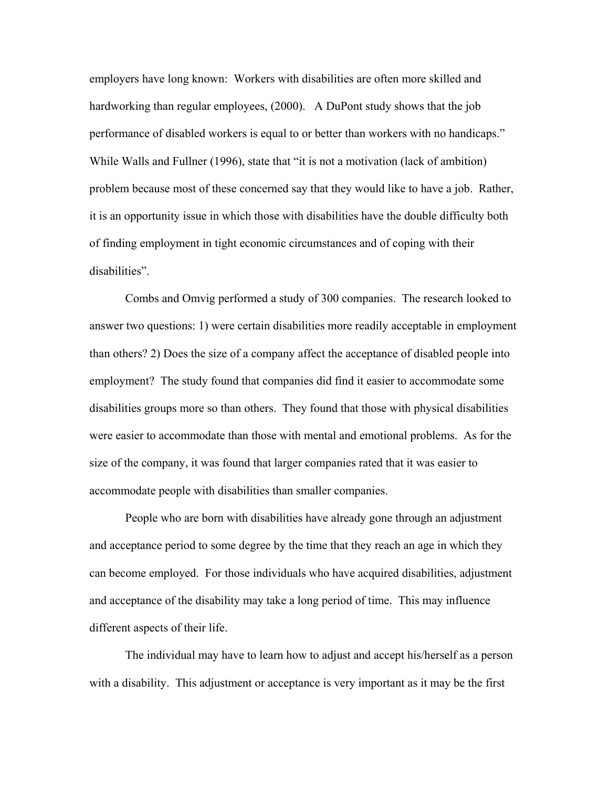employers have long known: Workers with disabilities are often more skilled and hardworking than regular employees, (2000). A DuPont study shows that the job performance of disabled workers is equal to or better than workers with no handicaps." While Walls and Fullner (1996), state that "it is not a motivation (lack of ambition) problem because most of these concerned say that they would like to have a job. Rather, it is an opportunity issue in which those with disabilities have the double difficulty both of finding employment in tight economic circumstances and of coping with their disabilities".

 Combs and Omvig performed a study of 300 companies. The research looked to answer two questions: 1) were certain disabilities more readily acceptable in employment than others? 2) Does the size of a company affect the acceptance of disabled people into employment? The study found that companies did find it easier to accommodate some disabilities groups more so than others. They found that those with physical disabilities were easier to accommodate than those with mental and emotional problems. As for the size of the company, it was found that larger companies rated that it was easier to accommodate people with disabilities than smaller companies.

 People who are born with disabilities have already gone through an adjustment and acceptance period to some degree by the time that they reach an age in which they can become employed. For those individuals who have acquired disabilities, adjustment and acceptance of the disability may take a long period of time. This may influence different aspects of their life.

 The individual may have to learn how to adjust and accept his/herself as a person with a disability. This adjustment or acceptance is very important as it may be the first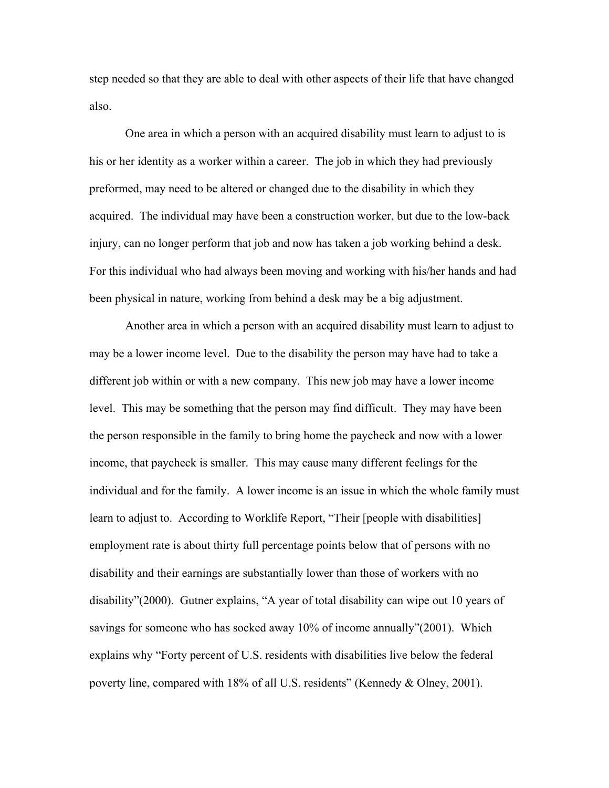step needed so that they are able to deal with other aspects of their life that have changed also.

One area in which a person with an acquired disability must learn to adjust to is his or her identity as a worker within a career. The job in which they had previously preformed, may need to be altered or changed due to the disability in which they acquired. The individual may have been a construction worker, but due to the low-back injury, can no longer perform that job and now has taken a job working behind a desk. For this individual who had always been moving and working with his/her hands and had been physical in nature, working from behind a desk may be a big adjustment.

 Another area in which a person with an acquired disability must learn to adjust to may be a lower income level. Due to the disability the person may have had to take a different job within or with a new company. This new job may have a lower income level. This may be something that the person may find difficult. They may have been the person responsible in the family to bring home the paycheck and now with a lower income, that paycheck is smaller. This may cause many different feelings for the individual and for the family. A lower income is an issue in which the whole family must learn to adjust to. According to Worklife Report, "Their [people with disabilities] employment rate is about thirty full percentage points below that of persons with no disability and their earnings are substantially lower than those of workers with no disability"(2000). Gutner explains, "A year of total disability can wipe out 10 years of savings for someone who has socked away 10% of income annually"(2001). Which explains why "Forty percent of U.S. residents with disabilities live below the federal poverty line, compared with 18% of all U.S. residents" (Kennedy & Olney, 2001).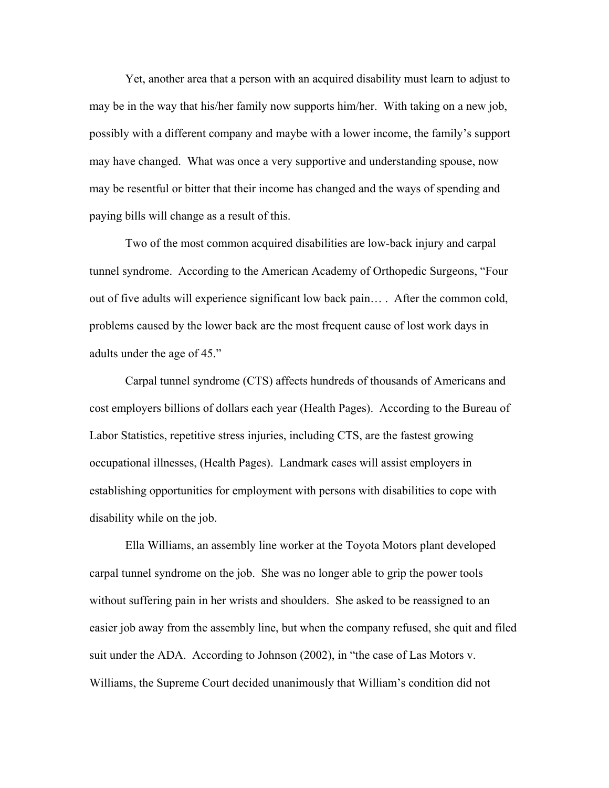Yet, another area that a person with an acquired disability must learn to adjust to may be in the way that his/her family now supports him/her. With taking on a new job, possibly with a different company and maybe with a lower income, the family's support may have changed. What was once a very supportive and understanding spouse, now may be resentful or bitter that their income has changed and the ways of spending and paying bills will change as a result of this.

Two of the most common acquired disabilities are low-back injury and carpal tunnel syndrome. According to the American Academy of Orthopedic Surgeons, "Four out of five adults will experience significant low back pain… . After the common cold, problems caused by the lower back are the most frequent cause of lost work days in adults under the age of 45."

Carpal tunnel syndrome (CTS) affects hundreds of thousands of Americans and cost employers billions of dollars each year (Health Pages). According to the Bureau of Labor Statistics, repetitive stress injuries, including CTS, are the fastest growing occupational illnesses, (Health Pages). Landmark cases will assist employers in establishing opportunities for employment with persons with disabilities to cope with disability while on the job.

 Ella Williams, an assembly line worker at the Toyota Motors plant developed carpal tunnel syndrome on the job. She was no longer able to grip the power tools without suffering pain in her wrists and shoulders. She asked to be reassigned to an easier job away from the assembly line, but when the company refused, she quit and filed suit under the ADA. According to Johnson (2002), in "the case of Las Motors v. Williams, the Supreme Court decided unanimously that William's condition did not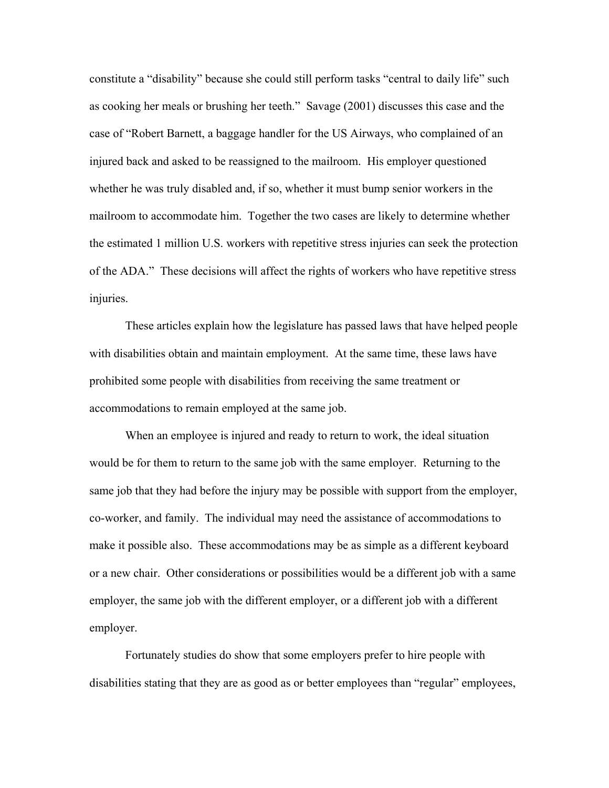constitute a "disability" because she could still perform tasks "central to daily life" such as cooking her meals or brushing her teeth." Savage (2001) discusses this case and the case of "Robert Barnett, a baggage handler for the US Airways, who complained of an injured back and asked to be reassigned to the mailroom. His employer questioned whether he was truly disabled and, if so, whether it must bump senior workers in the mailroom to accommodate him. Together the two cases are likely to determine whether the estimated 1 million U.S. workers with repetitive stress injuries can seek the protection of the ADA." These decisions will affect the rights of workers who have repetitive stress injuries.

These articles explain how the legislature has passed laws that have helped people with disabilities obtain and maintain employment. At the same time, these laws have prohibited some people with disabilities from receiving the same treatment or accommodations to remain employed at the same job.

When an employee is injured and ready to return to work, the ideal situation would be for them to return to the same job with the same employer. Returning to the same job that they had before the injury may be possible with support from the employer, co-worker, and family. The individual may need the assistance of accommodations to make it possible also. These accommodations may be as simple as a different keyboard or a new chair. Other considerations or possibilities would be a different job with a same employer, the same job with the different employer, or a different job with a different employer.

Fortunately studies do show that some employers prefer to hire people with disabilities stating that they are as good as or better employees than "regular" employees,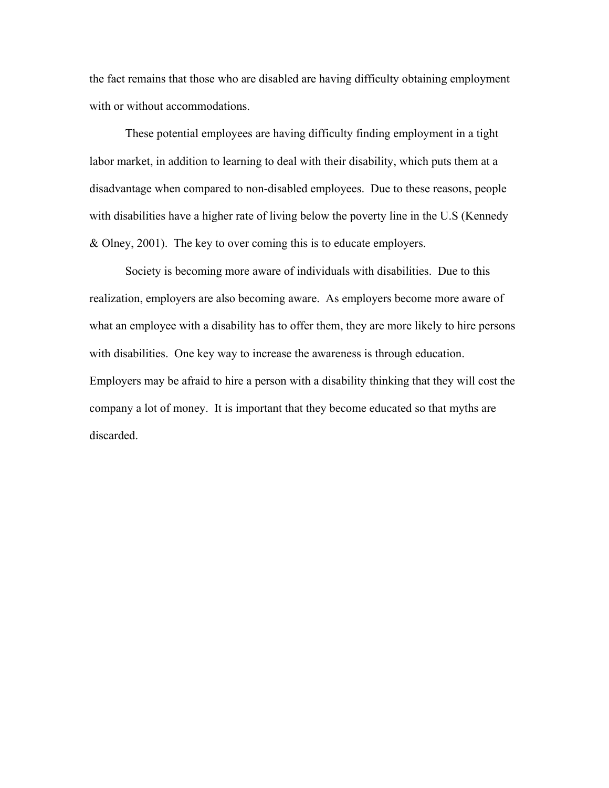the fact remains that those who are disabled are having difficulty obtaining employment with or without accommodations.

These potential employees are having difficulty finding employment in a tight labor market, in addition to learning to deal with their disability, which puts them at a disadvantage when compared to non-disabled employees. Due to these reasons, people with disabilities have a higher rate of living below the poverty line in the U.S (Kennedy & Olney, 2001). The key to over coming this is to educate employers.

 Society is becoming more aware of individuals with disabilities. Due to this realization, employers are also becoming aware. As employers become more aware of what an employee with a disability has to offer them, they are more likely to hire persons with disabilities. One key way to increase the awareness is through education. Employers may be afraid to hire a person with a disability thinking that they will cost the company a lot of money. It is important that they become educated so that myths are discarded.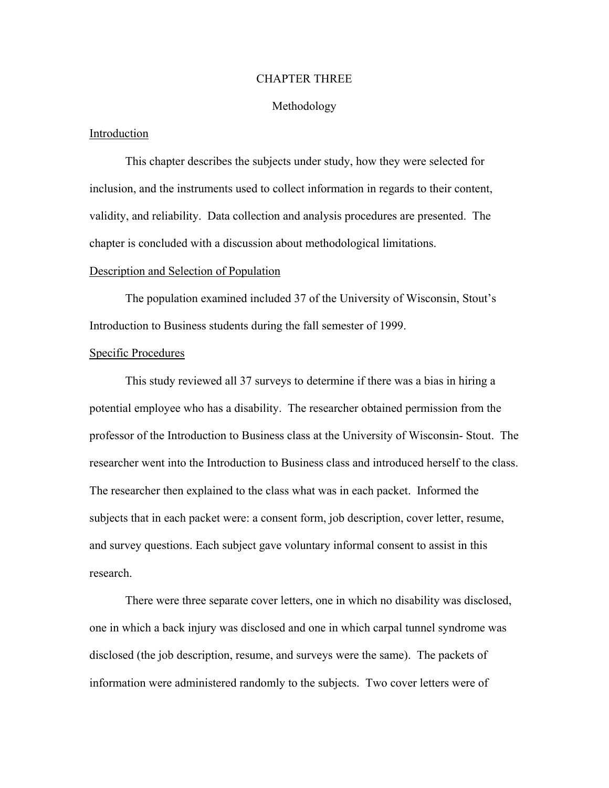#### CHAPTER THREE

#### Methodology

#### Introduction

 This chapter describes the subjects under study, how they were selected for inclusion, and the instruments used to collect information in regards to their content, validity, and reliability. Data collection and analysis procedures are presented. The chapter is concluded with a discussion about methodological limitations.

#### Description and Selection of Population

 The population examined included 37 of the University of Wisconsin, Stout's Introduction to Business students during the fall semester of 1999.

#### Specific Procedures

This study reviewed all 37 surveys to determine if there was a bias in hiring a potential employee who has a disability. The researcher obtained permission from the professor of the Introduction to Business class at the University of Wisconsin- Stout. The researcher went into the Introduction to Business class and introduced herself to the class. The researcher then explained to the class what was in each packet. Informed the subjects that in each packet were: a consent form, job description, cover letter, resume, and survey questions. Each subject gave voluntary informal consent to assist in this research.

There were three separate cover letters, one in which no disability was disclosed, one in which a back injury was disclosed and one in which carpal tunnel syndrome was disclosed (the job description, resume, and surveys were the same). The packets of information were administered randomly to the subjects. Two cover letters were of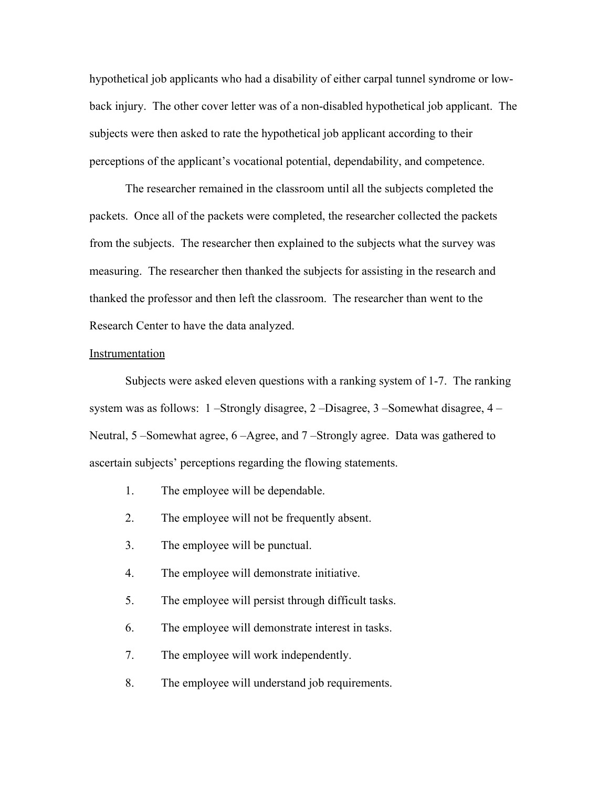hypothetical job applicants who had a disability of either carpal tunnel syndrome or lowback injury. The other cover letter was of a non-disabled hypothetical job applicant. The subjects were then asked to rate the hypothetical job applicant according to their perceptions of the applicant's vocational potential, dependability, and competence.

The researcher remained in the classroom until all the subjects completed the packets. Once all of the packets were completed, the researcher collected the packets from the subjects. The researcher then explained to the subjects what the survey was measuring. The researcher then thanked the subjects for assisting in the research and thanked the professor and then left the classroom. The researcher than went to the Research Center to have the data analyzed.

#### Instrumentation

Subjects were asked eleven questions with a ranking system of 1-7. The ranking system was as follows: 1 –Strongly disagree, 2 –Disagree, 3 –Somewhat disagree, 4 – Neutral, 5 –Somewhat agree, 6 –Agree, and 7 –Strongly agree. Data was gathered to ascertain subjects' perceptions regarding the flowing statements.

- 1. The employee will be dependable.
- 2. The employee will not be frequently absent.
- 3. The employee will be punctual.
- 4. The employee will demonstrate initiative.
- 5. The employee will persist through difficult tasks.
- 6. The employee will demonstrate interest in tasks.
- 7. The employee will work independently.
- 8. The employee will understand job requirements.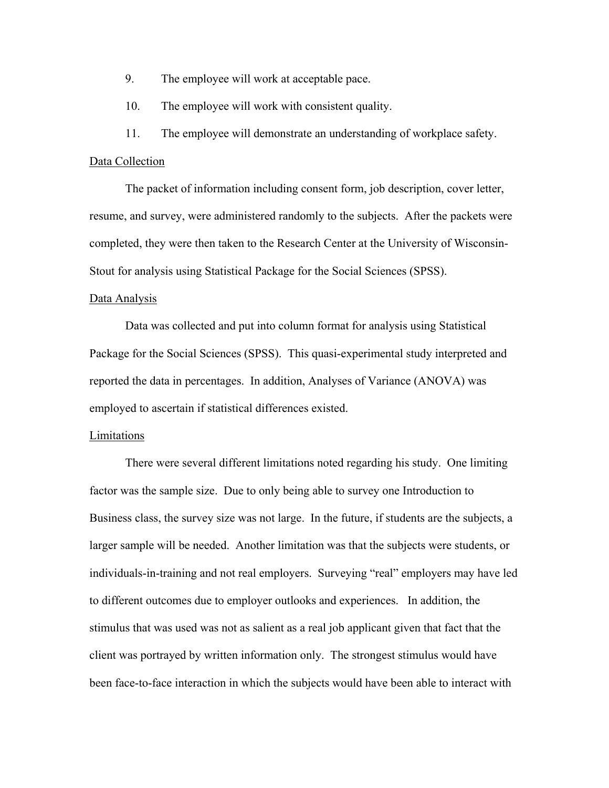- 9. The employee will work at acceptable pace.
- 10. The employee will work with consistent quality.

11. The employee will demonstrate an understanding of workplace safety.

#### Data Collection

The packet of information including consent form, job description, cover letter, resume, and survey, were administered randomly to the subjects. After the packets were completed, they were then taken to the Research Center at the University of Wisconsin-Stout for analysis using Statistical Package for the Social Sciences (SPSS).

#### Data Analysis

 Data was collected and put into column format for analysis using Statistical Package for the Social Sciences (SPSS). This quasi-experimental study interpreted and reported the data in percentages. In addition, Analyses of Variance (ANOVA) was employed to ascertain if statistical differences existed.

#### **Limitations**

 There were several different limitations noted regarding his study. One limiting factor was the sample size. Due to only being able to survey one Introduction to Business class, the survey size was not large. In the future, if students are the subjects, a larger sample will be needed. Another limitation was that the subjects were students, or individuals-in-training and not real employers. Surveying "real" employers may have led to different outcomes due to employer outlooks and experiences. In addition, the stimulus that was used was not as salient as a real job applicant given that fact that the client was portrayed by written information only. The strongest stimulus would have been face-to-face interaction in which the subjects would have been able to interact with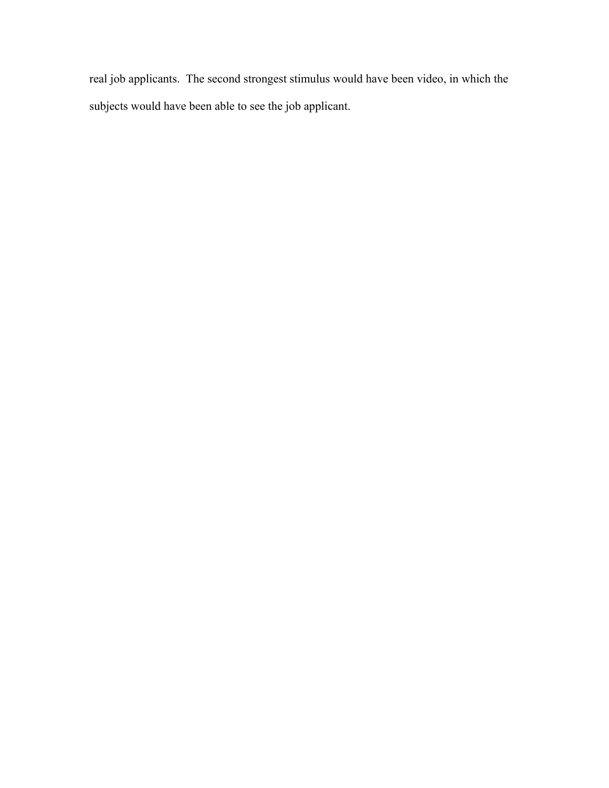real job applicants. The second strongest stimulus would have been video, in which the subjects would have been able to see the job applicant.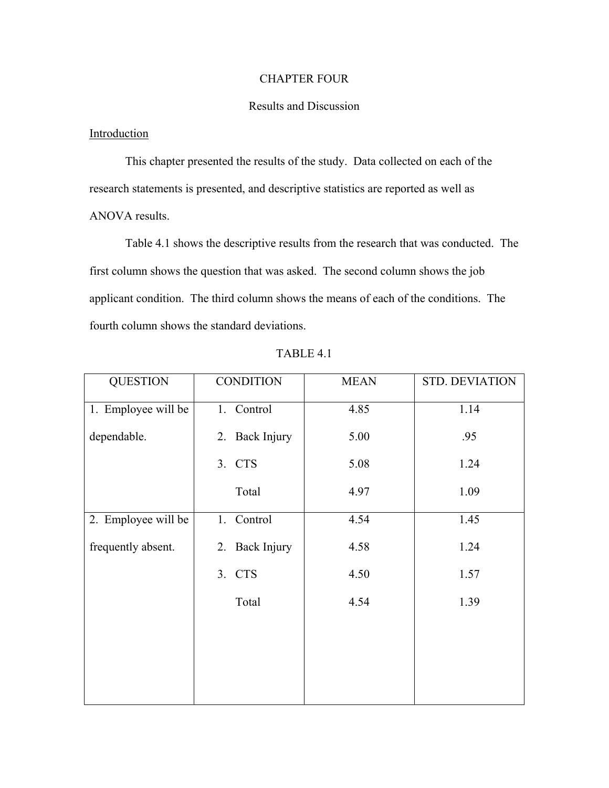## CHAPTER FOUR

## Results and Discussion

## Introduction

 This chapter presented the results of the study. Data collected on each of the research statements is presented, and descriptive statistics are reported as well as ANOVA results.

 Table 4.1 shows the descriptive results from the research that was conducted. The first column shows the question that was asked. The second column shows the job applicant condition. The third column shows the means of each of the conditions. The fourth column shows the standard deviations.

| <b>QUESTION</b>     | <b>CONDITION</b> | <b>MEAN</b> | <b>STD. DEVIATION</b> |
|---------------------|------------------|-------------|-----------------------|
| 1. Employee will be | 1. Control       | 4.85        | 1.14                  |
| dependable.         | 2. Back Injury   | 5.00        | .95                   |
|                     | 3. CTS           | 5.08        | 1.24                  |
|                     | Total            | 4.97        | 1.09                  |
| 2. Employee will be | 1. Control       | 4.54        | 1.45                  |
| frequently absent.  | 2. Back Injury   | 4.58        | 1.24                  |
|                     | 3. CTS           | 4.50        | 1.57                  |
|                     | Total            | 4.54        | 1.39                  |
|                     |                  |             |                       |
|                     |                  |             |                       |
|                     |                  |             |                       |

TABLE 4.1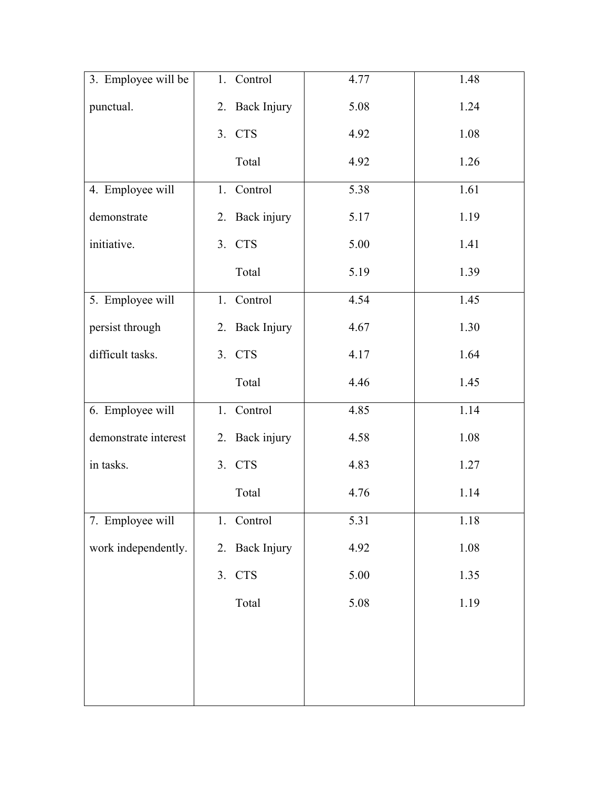| 3. Employee will be  | 1. Control     | 4.77 | 1.48 |
|----------------------|----------------|------|------|
| punctual.            | 2. Back Injury | 5.08 | 1.24 |
|                      | 3. CTS         | 4.92 | 1.08 |
|                      | Total          | 4.92 | 1.26 |
| 4. Employee will     | 1. Control     | 5.38 | 1.61 |
| demonstrate          | 2. Back injury | 5.17 | 1.19 |
| initiative.          | 3. CTS         | 5.00 | 1.41 |
|                      | Total          | 5.19 | 1.39 |
| 5. Employee will     | 1. Control     | 4.54 | 1.45 |
| persist through      | 2. Back Injury | 4.67 | 1.30 |
| difficult tasks.     | 3. CTS         | 4.17 | 1.64 |
|                      | Total          | 4.46 | 1.45 |
| 6. Employee will     | 1. Control     | 4.85 | 1.14 |
| demonstrate interest | 2. Back injury | 4.58 | 1.08 |
| in tasks.            | 3. CTS         | 4.83 | 1.27 |
|                      | Total          | 4.76 | 1.14 |
| 7. Employee will     | 1. Control     | 5.31 | 1.18 |
| work independently.  | 2. Back Injury | 4.92 | 1.08 |
|                      | 3. CTS         | 5.00 | 1.35 |
|                      | Total          | 5.08 | 1.19 |
|                      |                |      |      |
|                      |                |      |      |
|                      |                |      |      |
|                      |                |      |      |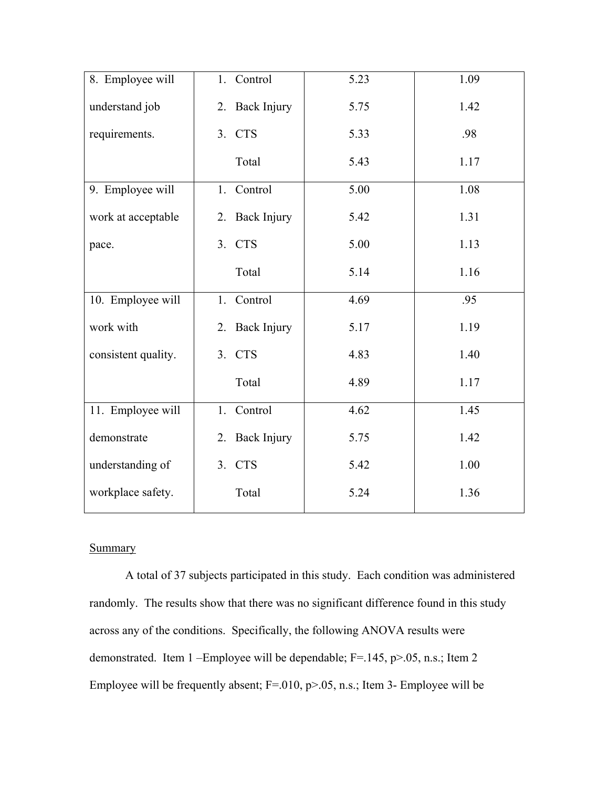| 8. Employee will    | 1. Control     | 5.23 | 1.09 |
|---------------------|----------------|------|------|
| understand job      | 2. Back Injury | 5.75 | 1.42 |
| requirements.       | 3. CTS         | 5.33 | .98  |
|                     | Total          | 5.43 | 1.17 |
| 9. Employee will    | 1. Control     | 5.00 | 1.08 |
| work at acceptable  | 2. Back Injury | 5.42 | 1.31 |
| pace.               | 3. CTS         | 5.00 | 1.13 |
|                     | Total          | 5.14 | 1.16 |
| 10. Employee will   | 1. Control     | 4.69 | .95  |
| work with           | 2. Back Injury | 5.17 | 1.19 |
| consistent quality. | 3. CTS         | 4.83 | 1.40 |
|                     | Total          | 4.89 | 1.17 |
| 11. Employee will   | 1. Control     | 4.62 | 1.45 |
| demonstrate         | 2. Back Injury | 5.75 | 1.42 |
| understanding of    | 3. CTS         | 5.42 | 1.00 |
| workplace safety.   | Total          | 5.24 | 1.36 |

## **Summary**

A total of 37 subjects participated in this study. Each condition was administered randomly. The results show that there was no significant difference found in this study across any of the conditions. Specifically, the following ANOVA results were demonstrated. Item 1 –Employee will be dependable; F=.145, p>.05, n.s.; Item 2 Employee will be frequently absent; F=.010, p>.05, n.s.; Item 3- Employee will be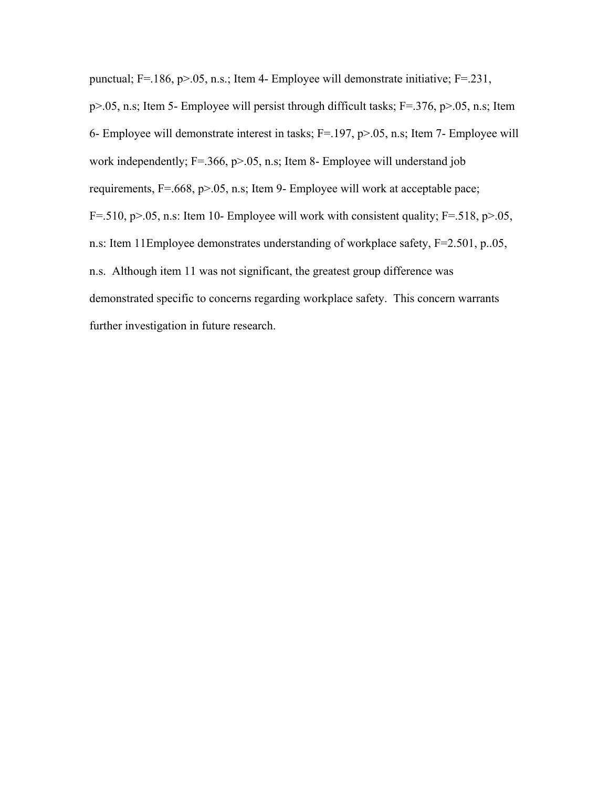punctual; F=.186, p>.05, n.s.; Item 4- Employee will demonstrate initiative; F=.231, p>.05, n.s; Item 5- Employee will persist through difficult tasks; F=.376, p>.05, n.s; Item 6- Employee will demonstrate interest in tasks; F=.197, p>.05, n.s; Item 7- Employee will work independently; F=.366, p>.05, n.s; Item 8- Employee will understand job requirements, F=.668, p>.05, n.s; Item 9- Employee will work at acceptable pace; F=.510,  $p>0.05$ , n.s: Item 10- Employee will work with consistent quality; F=.518,  $p>0.05$ , n.s: Item 11Employee demonstrates understanding of workplace safety, F=2.501, p..05, n.s. Although item 11 was not significant, the greatest group difference was demonstrated specific to concerns regarding workplace safety. This concern warrants further investigation in future research.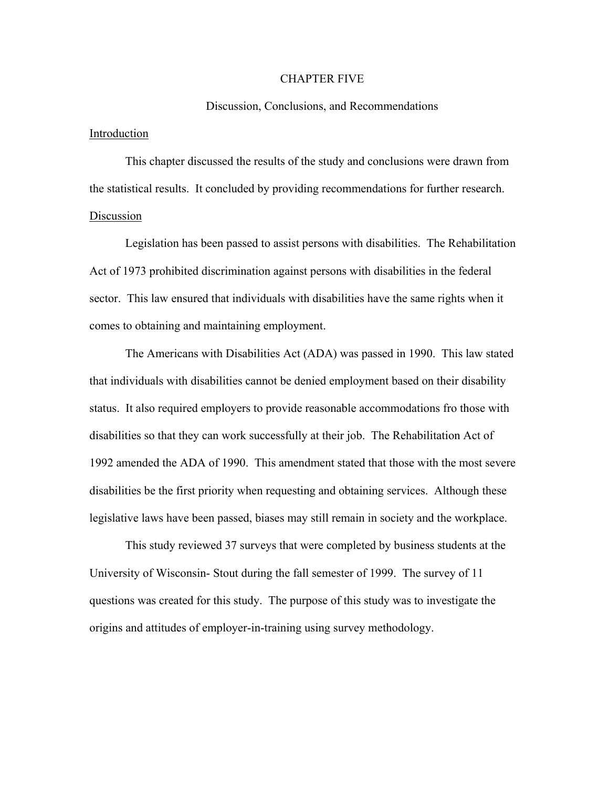#### CHAPTER FIVE

#### Discussion, Conclusions, and Recommendations

#### Introduction

This chapter discussed the results of the study and conclusions were drawn from the statistical results. It concluded by providing recommendations for further research. Discussion

Legislation has been passed to assist persons with disabilities. The Rehabilitation Act of 1973 prohibited discrimination against persons with disabilities in the federal sector. This law ensured that individuals with disabilities have the same rights when it comes to obtaining and maintaining employment.

 The Americans with Disabilities Act (ADA) was passed in 1990. This law stated that individuals with disabilities cannot be denied employment based on their disability status. It also required employers to provide reasonable accommodations fro those with disabilities so that they can work successfully at their job. The Rehabilitation Act of 1992 amended the ADA of 1990. This amendment stated that those with the most severe disabilities be the first priority when requesting and obtaining services. Although these legislative laws have been passed, biases may still remain in society and the workplace.

 This study reviewed 37 surveys that were completed by business students at the University of Wisconsin- Stout during the fall semester of 1999. The survey of 11 questions was created for this study. The purpose of this study was to investigate the origins and attitudes of employer-in-training using survey methodology.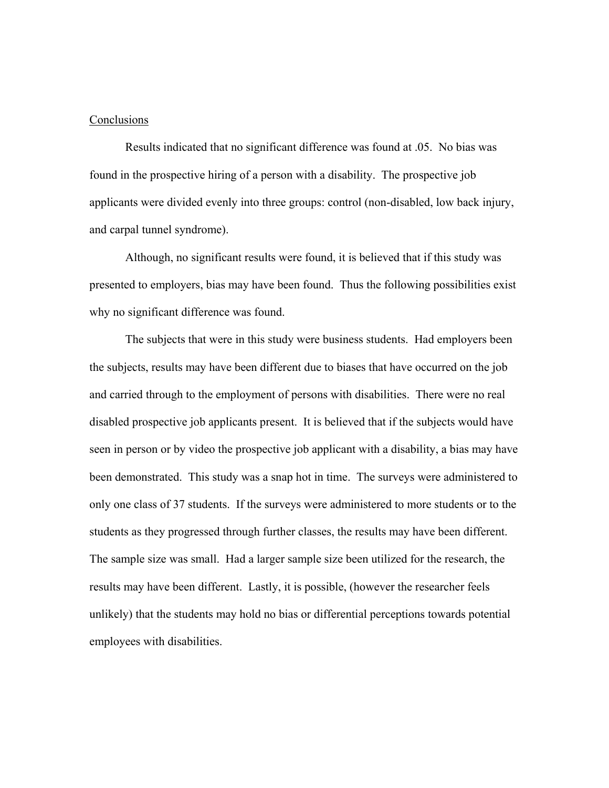#### **Conclusions**

Results indicated that no significant difference was found at .05. No bias was found in the prospective hiring of a person with a disability. The prospective job applicants were divided evenly into three groups: control (non-disabled, low back injury, and carpal tunnel syndrome).

Although, no significant results were found, it is believed that if this study was presented to employers, bias may have been found. Thus the following possibilities exist why no significant difference was found.

The subjects that were in this study were business students. Had employers been the subjects, results may have been different due to biases that have occurred on the job and carried through to the employment of persons with disabilities. There were no real disabled prospective job applicants present. It is believed that if the subjects would have seen in person or by video the prospective job applicant with a disability, a bias may have been demonstrated. This study was a snap hot in time. The surveys were administered to only one class of 37 students. If the surveys were administered to more students or to the students as they progressed through further classes, the results may have been different. The sample size was small. Had a larger sample size been utilized for the research, the results may have been different. Lastly, it is possible, (however the researcher feels unlikely) that the students may hold no bias or differential perceptions towards potential employees with disabilities.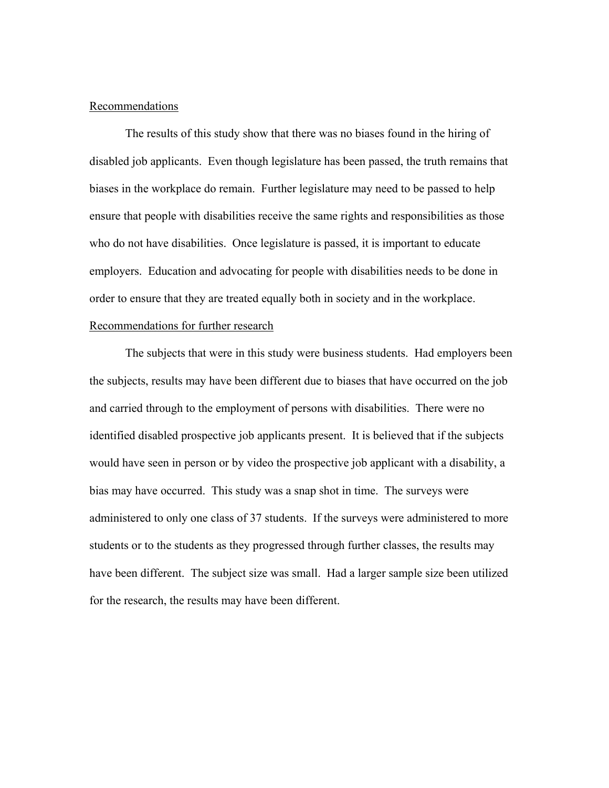#### Recommendations

The results of this study show that there was no biases found in the hiring of disabled job applicants. Even though legislature has been passed, the truth remains that biases in the workplace do remain. Further legislature may need to be passed to help ensure that people with disabilities receive the same rights and responsibilities as those who do not have disabilities. Once legislature is passed, it is important to educate employers. Education and advocating for people with disabilities needs to be done in order to ensure that they are treated equally both in society and in the workplace. Recommendations for further research

The subjects that were in this study were business students. Had employers been the subjects, results may have been different due to biases that have occurred on the job and carried through to the employment of persons with disabilities. There were no identified disabled prospective job applicants present. It is believed that if the subjects would have seen in person or by video the prospective job applicant with a disability, a bias may have occurred. This study was a snap shot in time. The surveys were administered to only one class of 37 students. If the surveys were administered to more students or to the students as they progressed through further classes, the results may have been different. The subject size was small. Had a larger sample size been utilized for the research, the results may have been different.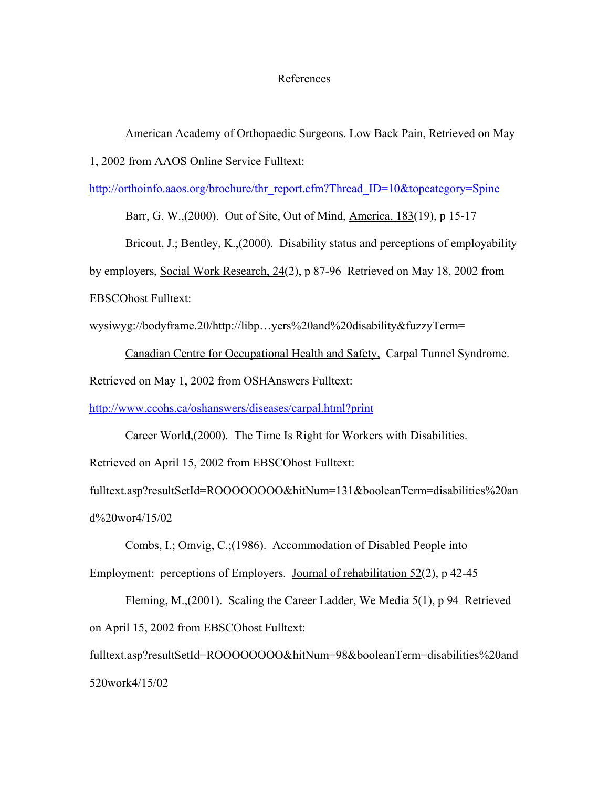#### References

American Academy of Orthopaedic Surgeons. Low Back Pain, Retrieved on May

1, 2002 from AAOS Online Service Fulltext:

[http://orthoinfo.aaos.org/brochure/thr\\_report.cfm?Thread\\_ID=10&topcategory=Spine](http://orthoinfo.aaos.org/brochure/thr_report.cfm?Thread_ID=10&topcategory=Spine)

Barr, G. W.,(2000). Out of Site, Out of Mind, America, 183(19), p 15-17

Bricout, J.; Bentley, K., (2000). Disability status and perceptions of employability

by employers, Social Work Research, 24(2), p 87-96 Retrieved on May 18, 2002 from

EBSCOhost Fulltext:

wysiwyg://bodyframe.20/http://libp…yers%20and%20disability&fuzzyTerm=

Canadian Centre for Occupational Health and Safety, Carpal Tunnel Syndrome. Retrieved on May 1, 2002 from OSHAnswers Fulltext:

<http://www.ccohs.ca/oshanswers/diseases/carpal.html?print>

 Career World,(2000). The Time Is Right for Workers with Disabilities. Retrieved on April 15, 2002 from EBSCOhost Fulltext:

fulltext.asp?resultSetId=ROOOOOOOO&hitNum=131&booleanTerm=disabilities%20an d%20wor4/15/02

 Combs, I.; Omvig, C.;(1986). Accommodation of Disabled People into Employment: perceptions of Employers. Journal of rehabilitation 52(2), p 42-45

 Fleming, M.,(2001). Scaling the Career Ladder, We Media 5(1), p 94 Retrieved on April 15, 2002 from EBSCOhost Fulltext:

fulltext.asp?resultSetId=ROOOOOOOO&hitNum=98&booleanTerm=disabilities%20and 520work4/15/02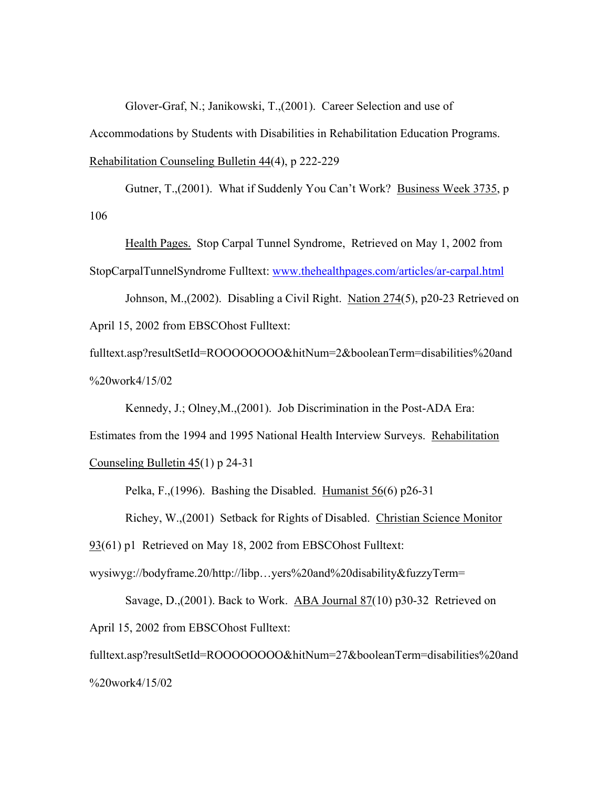Glover-Graf, N.; Janikowski, T.,(2001). Career Selection and use of

Accommodations by Students with Disabilities in Rehabilitation Education Programs.

Rehabilitation Counseling Bulletin 44(4), p 222-229

Gutner, T.,(2001). What if Suddenly You Can't Work? Business Week 3735, p 106

Health Pages. Stop Carpal Tunnel Syndrome, Retrieved on May 1, 2002 from StopCarpalTunnelSyndrome Fulltext: [www.thehealthpages.com/articles/ar-carpal.html](http://www.thehealthpages.com/articles/ar-carpal.html)

Johnson, M.,(2002). Disabling a Civil Right. Nation 274(5), p20-23 Retrieved on April 15, 2002 from EBSCOhost Fulltext:

fulltext.asp?resultSetId=ROOOOOOOO&hitNum=2&booleanTerm=disabilities%20and %20work4/15/02

Kennedy, J.; Olney,M.,(2001). Job Discrimination in the Post-ADA Era:

Estimates from the 1994 and 1995 National Health Interview Surveys. Rehabilitation Counseling Bulletin 45(1) p 24-31

Pelka, F.,(1996). Bashing the Disabled. Humanist 56(6) p26-31

Richey, W.,(2001) Setback for Rights of Disabled. Christian Science Monitor

93(61) p1 Retrieved on May 18, 2002 from EBSCOhost Fulltext:

wysiwyg://bodyframe.20/http://libp…yers%20and%20disability&fuzzyTerm=

Savage, D.,(2001). Back to Work. ABA Journal 87(10) p30-32 Retrieved on April 15, 2002 from EBSCOhost Fulltext:

fulltext.asp?resultSetId=ROOOOOOOO&hitNum=27&booleanTerm=disabilities%20and %20work4/15/02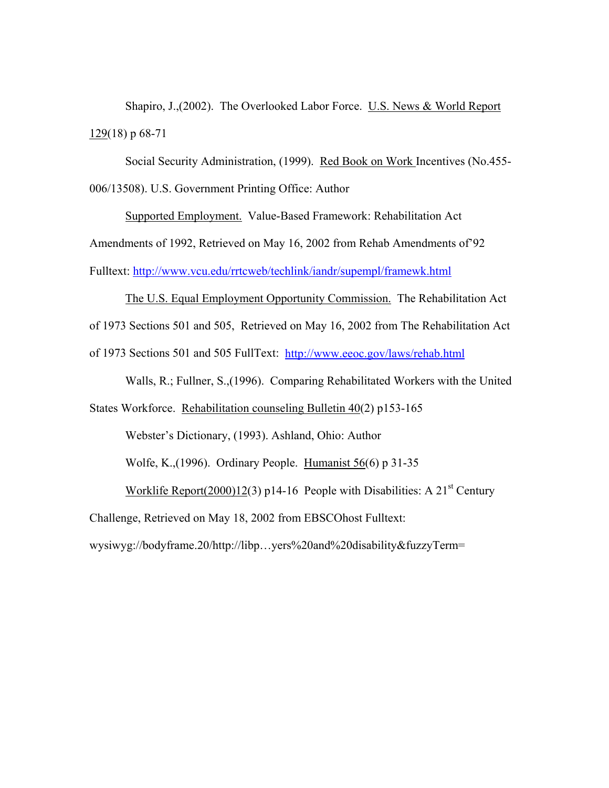Shapiro, J.,(2002). The Overlooked Labor Force. U.S. News & World Report 129(18) p 68-71

Social Security Administration, (1999). Red Book on Work Incentives (No.455- 006/13508). U.S. Government Printing Office: Author

Supported Employment. Value-Based Framework: Rehabilitation Act Amendments of 1992, Retrieved on May 16, 2002 from Rehab Amendments of'92 Fulltext: <http://www.vcu.edu/rrtcweb/techlink/iandr/supempl/framewk.html>

# The U.S. Equal Employment Opportunity Commission. The Rehabilitation Act of 1973 Sections 501 and 505, Retrieved on May 16, 2002 from The Rehabilitation Act of 1973 Sections 501 and 505 FullText: <http://www.eeoc.gov/laws/rehab.html>

Walls, R.; Fullner, S.,(1996). Comparing Rehabilitated Workers with the United

States Workforce. Rehabilitation counseling Bulletin 40(2) p153-165

Webster's Dictionary, (1993). Ashland, Ohio: Author

Wolfe, K.,(1996). Ordinary People. Humanist 56(6) p 31-35

Worklife Report(2000)12(3) p14-16 People with Disabilities: A  $21<sup>st</sup>$  Century

Challenge, Retrieved on May 18, 2002 from EBSCOhost Fulltext:

wysiwyg://bodyframe.20/http://libp…yers%20and%20disability&fuzzyTerm=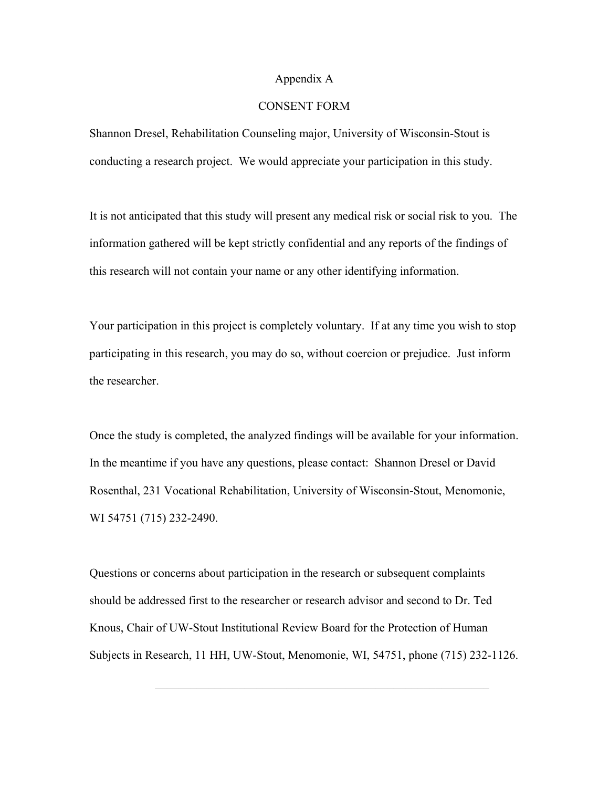#### Appendix A

## CONSENT FORM

Shannon Dresel, Rehabilitation Counseling major, University of Wisconsin-Stout is conducting a research project. We would appreciate your participation in this study.

It is not anticipated that this study will present any medical risk or social risk to you. The information gathered will be kept strictly confidential and any reports of the findings of this research will not contain your name or any other identifying information.

Your participation in this project is completely voluntary. If at any time you wish to stop participating in this research, you may do so, without coercion or prejudice. Just inform the researcher.

Once the study is completed, the analyzed findings will be available for your information. In the meantime if you have any questions, please contact: Shannon Dresel or David Rosenthal, 231 Vocational Rehabilitation, University of Wisconsin-Stout, Menomonie, WI 54751 (715) 232-2490.

Questions or concerns about participation in the research or subsequent complaints should be addressed first to the researcher or research advisor and second to Dr. Ted Knous, Chair of UW-Stout Institutional Review Board for the Protection of Human Subjects in Research, 11 HH, UW-Stout, Menomonie, WI, 54751, phone (715) 232-1126.

 $\mathcal{L}_\mathcal{L}$  , and the contribution of the contribution of the contribution of the contribution of the contribution of the contribution of the contribution of the contribution of the contribution of the contribution of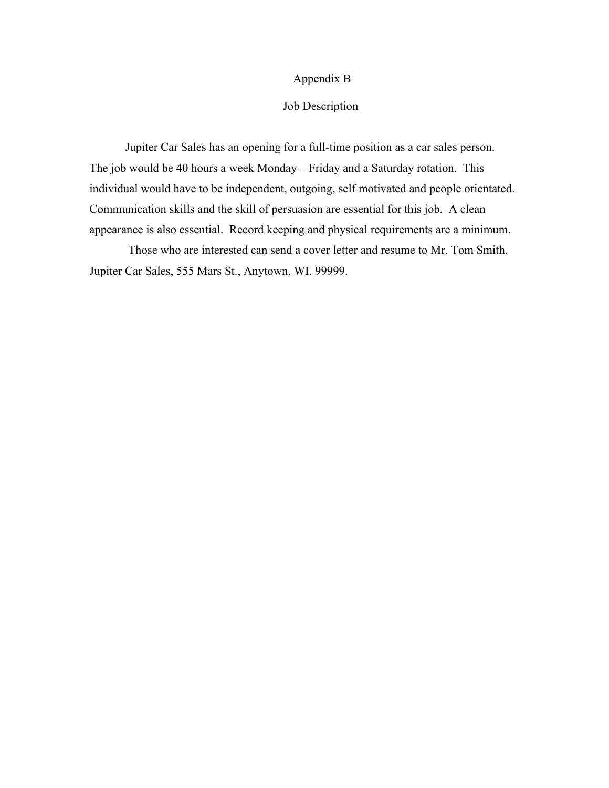## Appendix B

## Job Description

Jupiter Car Sales has an opening for a full-time position as a car sales person. The job would be 40 hours a week Monday – Friday and a Saturday rotation. This individual would have to be independent, outgoing, self motivated and people orientated. Communication skills and the skill of persuasion are essential for this job. A clean appearance is also essential. Record keeping and physical requirements are a minimum.

 Those who are interested can send a cover letter and resume to Mr. Tom Smith, Jupiter Car Sales, 555 Mars St., Anytown, WI. 99999.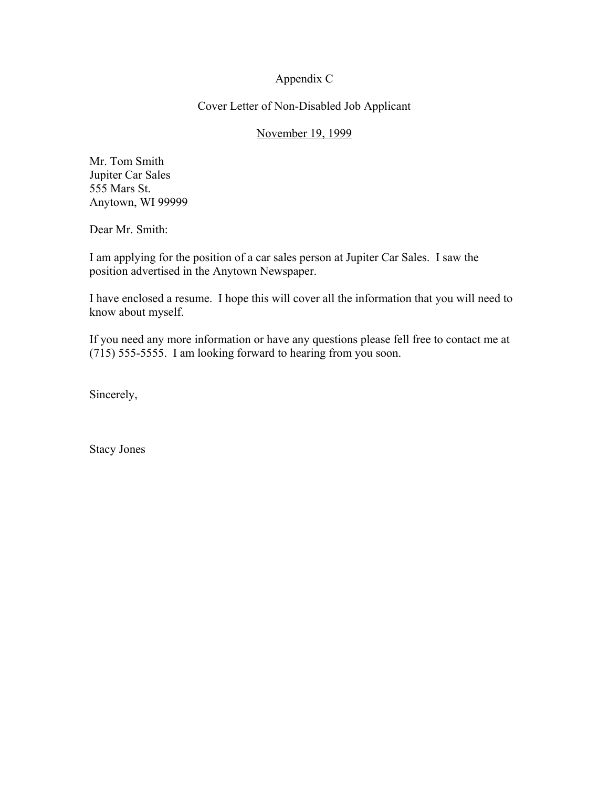## Appendix C

## Cover Letter of Non-Disabled Job Applicant

## November 19, 1999

Mr. Tom Smith Jupiter Car Sales 555 Mars St. Anytown, WI 99999

Dear Mr. Smith:

I am applying for the position of a car sales person at Jupiter Car Sales. I saw the position advertised in the Anytown Newspaper.

I have enclosed a resume. I hope this will cover all the information that you will need to know about myself.

If you need any more information or have any questions please fell free to contact me at (715) 555-5555. I am looking forward to hearing from you soon.

Sincerely,

Stacy Jones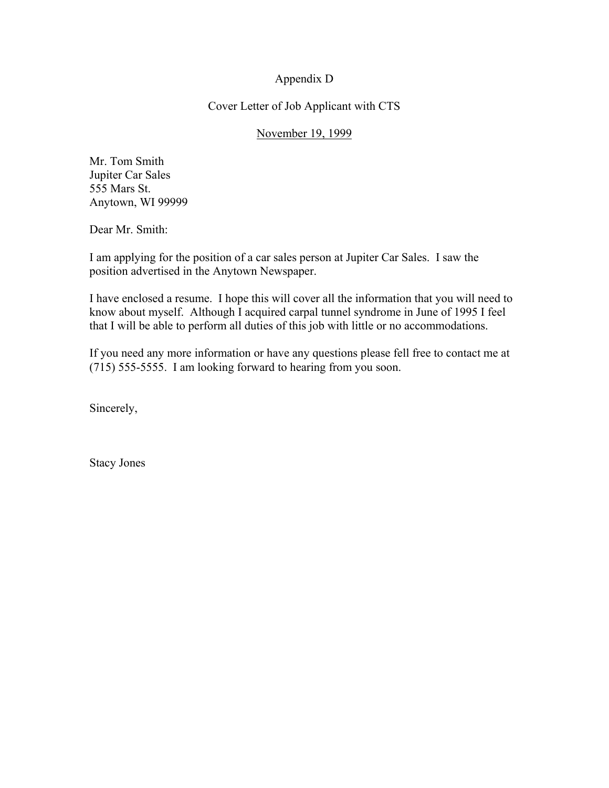## Appendix D

## Cover Letter of Job Applicant with CTS

## November 19, 1999

Mr. Tom Smith Jupiter Car Sales 555 Mars St. Anytown, WI 99999

Dear Mr. Smith:

I am applying for the position of a car sales person at Jupiter Car Sales. I saw the position advertised in the Anytown Newspaper.

I have enclosed a resume. I hope this will cover all the information that you will need to know about myself. Although I acquired carpal tunnel syndrome in June of 1995 I feel that I will be able to perform all duties of this job with little or no accommodations.

If you need any more information or have any questions please fell free to contact me at (715) 555-5555. I am looking forward to hearing from you soon.

Sincerely,

Stacy Jones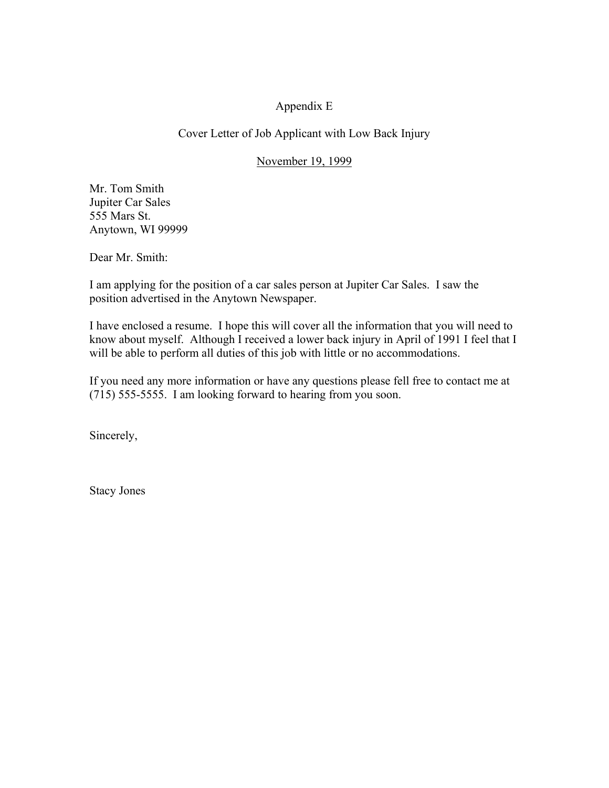## Appendix E

## Cover Letter of Job Applicant with Low Back Injury

## November 19, 1999

Mr. Tom Smith Jupiter Car Sales 555 Mars St. Anytown, WI 99999

Dear Mr. Smith:

I am applying for the position of a car sales person at Jupiter Car Sales. I saw the position advertised in the Anytown Newspaper.

I have enclosed a resume. I hope this will cover all the information that you will need to know about myself. Although I received a lower back injury in April of 1991 I feel that I will be able to perform all duties of this job with little or no accommodations.

If you need any more information or have any questions please fell free to contact me at (715) 555-5555. I am looking forward to hearing from you soon.

Sincerely,

Stacy Jones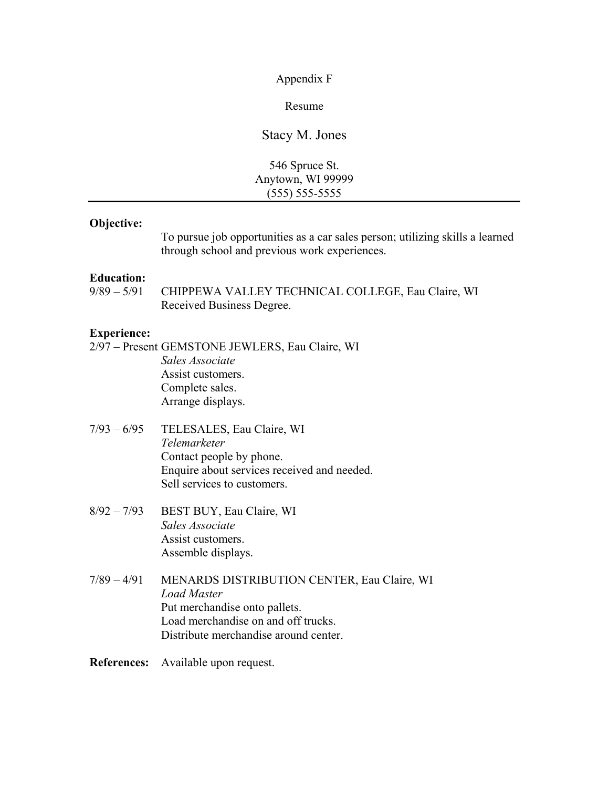Appendix F

Resume

Stacy M. Jones

546 Spruce St. Anytown, WI 99999 (555) 555-5555

## **Objective:**

To pursue job opportunities as a car sales person; utilizing skills a learned through school and previous work experiences.

# **Education:**<br> $\frac{9}{89} - \frac{5}{91}$

CHIPPEWA VALLEY TECHNICAL COLLEGE, Eau Claire, WI Received Business Degree.

#### **Experience:**

- 2/97 Present GEMSTONE JEWLERS, Eau Claire, WI *Sales Associate* Assist customers. Complete sales. Arrange displays.
- 7/93 6/95 TELESALES, Eau Claire, WI *Telemarketer*  Contact people by phone. Enquire about services received and needed. Sell services to customers.
- 8/92 7/93 BEST BUY, Eau Claire, WI *Sales Associate* Assist customers. Assemble displays.
- 7/89 4/91 MENARDS DISTRIBUTION CENTER, Eau Claire, WI *Load Master*  Put merchandise onto pallets. Load merchandise on and off trucks. Distribute merchandise around center.

**References:** Available upon request.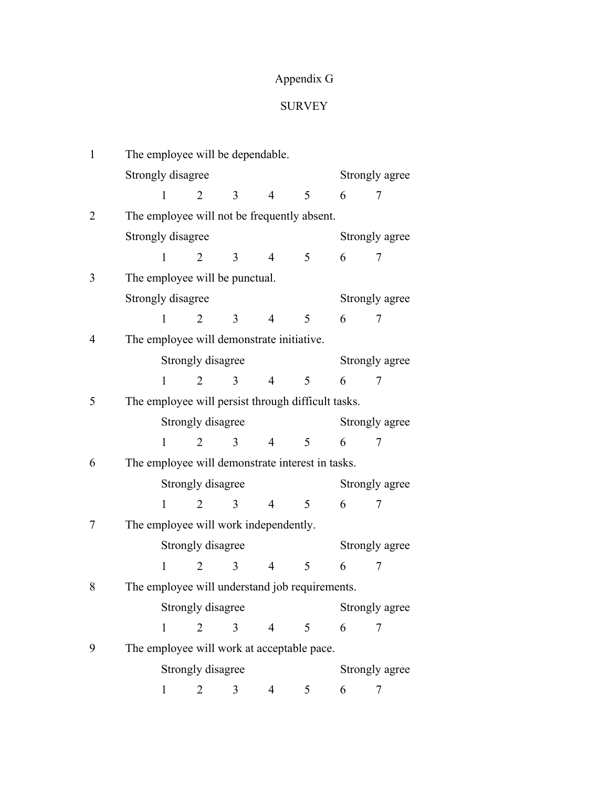## Appendix G

## SURVEY

| $\mathbf{1}$   |                   |                   | The employee will be dependable.      |                |                                                    |   |                |  |
|----------------|-------------------|-------------------|---------------------------------------|----------------|----------------------------------------------------|---|----------------|--|
|                | Strongly disagree |                   |                                       |                |                                                    |   | Strongly agree |  |
|                | 1                 | $\overline{2}$    | 3                                     | $\overline{4}$ | 5                                                  | 6 | 7              |  |
| $\overline{2}$ |                   |                   |                                       |                | The employee will not be frequently absent.        |   |                |  |
|                | Strongly disagree |                   |                                       |                |                                                    |   | Strongly agree |  |
|                | 1                 | 2                 | 3                                     | 4              | 5                                                  | 6 | 7              |  |
| 3              |                   |                   | The employee will be punctual.        |                |                                                    |   |                |  |
|                | Strongly disagree |                   |                                       |                |                                                    |   | Strongly agree |  |
|                | 1                 | $\overline{2}$    | 3                                     | 4              | 5                                                  | 6 | 7              |  |
| 4              |                   |                   |                                       |                | The employee will demonstrate initiative.          |   |                |  |
|                |                   | Strongly disagree |                                       |                |                                                    |   | Strongly agree |  |
|                | 1                 | $\overline{2}$    | 3                                     | 4              | 5                                                  | 6 | 7              |  |
| 5              |                   |                   |                                       |                | The employee will persist through difficult tasks. |   |                |  |
|                |                   | Strongly disagree |                                       |                |                                                    |   | Strongly agree |  |
|                | 1                 | $\overline{2}$    | 3                                     | 4              | 5                                                  | 6 | 7              |  |
| 6              |                   |                   |                                       |                | The employee will demonstrate interest in tasks.   |   |                |  |
|                |                   | Strongly disagree |                                       |                |                                                    |   | Strongly agree |  |
|                | 1                 | $\overline{2}$    | 3                                     | 4              | 5                                                  | 6 | 7              |  |
| 7              |                   |                   | The employee will work independently. |                |                                                    |   |                |  |
|                |                   | Strongly disagree |                                       |                |                                                    |   | Strongly agree |  |
|                | 1                 | 2                 | 3                                     | 4              | 5                                                  | 6 | 7              |  |
| 8              |                   |                   |                                       |                | The employee will understand job requirements.     |   |                |  |
|                |                   | Strongly disagree |                                       |                |                                                    |   | Strongly agree |  |
|                | 1                 | $\overline{2}$    | 3                                     | 4              | 5                                                  | 6 | 7              |  |
| 9              |                   |                   |                                       |                | The employee will work at acceptable pace.         |   |                |  |
|                |                   | Strongly disagree |                                       |                |                                                    |   | Strongly agree |  |
|                | 1                 | 2                 | 3                                     | 4              | 5                                                  | 6 | 7              |  |